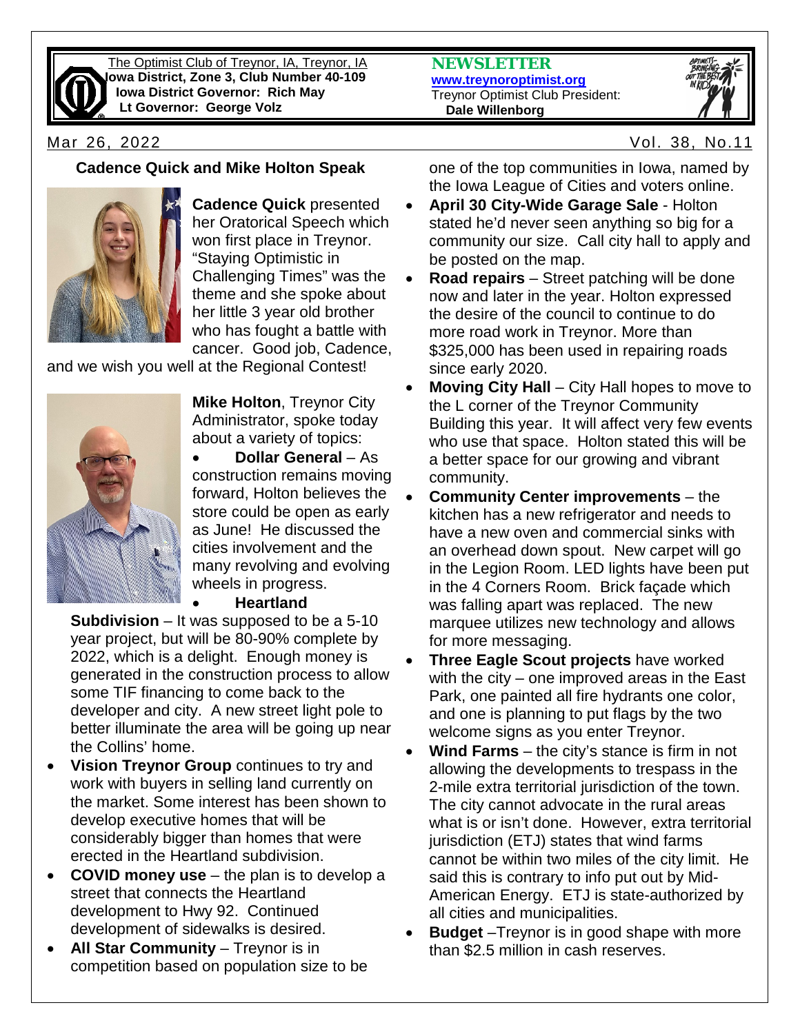

The Optimist Club of Treynor, IA, Treynor, IA **Iowa District, Zone 3, Club Number 40-109 Iowa District Governor: Rich May Lt Governor: George Volz**

**NEWSLETTER [www.treynoroptimist.org](http://www.treynoroptimist.org/)** Treynor Optimist Club President:  **Dale Willenborg**



Mar 26, 2022 Vol. 38, No.11

## **Cadence Quick and Mike Holton Speak**



**Cadence Quick** presented her Oratorical Speech which won first place in Treynor. "Staying Optimistic in Challenging Times" was the theme and she spoke about her little 3 year old brother who has fought a battle with cancer. Good job, Cadence,

and we wish you well at the Regional Contest!



**Mike Holton**, Treynor City Administrator, spoke today about a variety of topics:

• **Dollar General** – As construction remains moving forward, Holton believes the store could be open as early as June! He discussed the cities involvement and the many revolving and evolving wheels in progress.

## • **Heartland**

**Subdivision** – It was supposed to be a 5-10 year project, but will be 80-90% complete by 2022, which is a delight. Enough money is generated in the construction process to allow some TIF financing to come back to the developer and city. A new street light pole to better illuminate the area will be going up near the Collins' home.

- **Vision Treynor Group** continues to try and work with buyers in selling land currently on the market. Some interest has been shown to develop executive homes that will be considerably bigger than homes that were erected in the Heartland subdivision.
- **COVID money use** the plan is to develop a street that connects the Heartland development to Hwy 92. Continued development of sidewalks is desired.
- **All Star Community**  Treynor is in competition based on population size to be

one of the top communities in Iowa, named by the Iowa League of Cities and voters online.

- **April 30 City-Wide Garage Sale** Holton stated he'd never seen anything so big for a community our size. Call city hall to apply and be posted on the map.
- **Road repairs** Street patching will be done now and later in the year. Holton expressed the desire of the council to continue to do more road work in Treynor. More than \$325,000 has been used in repairing roads since early 2020.
- **Moving City Hall** City Hall hopes to move to the L corner of the Treynor Community Building this year. It will affect very few events who use that space. Holton stated this will be a better space for our growing and vibrant community.
- **Community Center improvements** the kitchen has a new refrigerator and needs to have a new oven and commercial sinks with an overhead down spout. New carpet will go in the Legion Room. LED lights have been put in the 4 Corners Room. Brick façade which was falling apart was replaced. The new marquee utilizes new technology and allows for more messaging.
- **Three Eagle Scout projects** have worked with the city – one improved areas in the East Park, one painted all fire hydrants one color, and one is planning to put flags by the two welcome signs as you enter Treynor.
- **Wind Farms** the city's stance is firm in not allowing the developments to trespass in the 2-mile extra territorial jurisdiction of the town. The city cannot advocate in the rural areas what is or isn't done. However, extra territorial jurisdiction (ETJ) states that wind farms cannot be within two miles of the city limit. He said this is contrary to info put out by Mid-American Energy. ETJ is state-authorized by all cities and municipalities.
- **Budget** –Treynor is in good shape with more than \$2.5 million in cash reserves.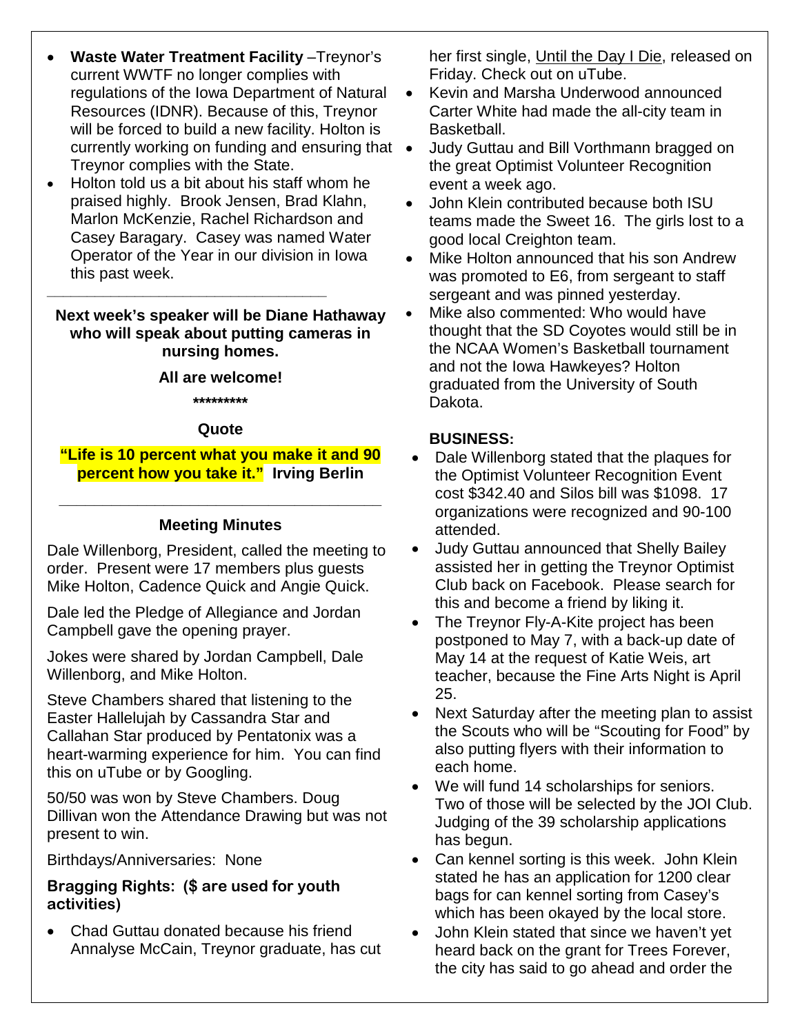- **Waste Water Treatment Facility** –Treynor's current WWTF no longer complies with regulations of the Iowa Department of Natural Resources (IDNR). Because of this, Treynor will be forced to build a new facility. Holton is currently working on funding and ensuring that Treynor complies with the State.
- Holton told us a bit about his staff whom he praised highly. Brook Jensen, Brad Klahn, Marlon McKenzie, Rachel Richardson and Casey Baragary. Casey was named Water Operator of the Year in our division in Iowa this past week.

**\_\_\_\_\_\_\_\_\_\_\_\_\_\_\_\_\_\_\_\_\_\_\_\_\_\_\_\_\_\_\_\_\_\_\_**

## **Next week's speaker will be Diane Hathaway who will speak about putting cameras in nursing homes.**

## **All are welcome!**

**\*\*\*\*\*\*\*\*\***

## **Quote**

## **"Life is 10 percent what you make it and 90 percent how you take it." Irving Berlin**

# **\_\_\_\_\_\_\_\_\_\_\_\_\_\_\_\_\_\_\_\_\_\_\_\_\_\_\_\_\_\_\_\_\_\_\_\_\_ Meeting Minutes**

Dale Willenborg, President, called the meeting to order. Present were 17 members plus guests Mike Holton, Cadence Quick and Angie Quick.

Dale led the Pledge of Allegiance and Jordan Campbell gave the opening prayer.

Jokes were shared by Jordan Campbell, Dale Willenborg, and Mike Holton.

Steve Chambers shared that listening to the Easter Hallelujah by Cassandra Star and Callahan Star produced by Pentatonix was a heart-warming experience for him. You can find this on uTube or by Googling.

50/50 was won by Steve Chambers. Doug Dillivan won the Attendance Drawing but was not present to win.

Birthdays/Anniversaries: None

## **Bragging Rights: (\$ are used for youth activities)**

• Chad Guttau donated because his friend Annalyse McCain, Treynor graduate, has cut her first single, Until the Day I Die, released on Friday. Check out on uTube.

- Kevin and Marsha Underwood announced Carter White had made the all-city team in Basketball.
- Judy Guttau and Bill Vorthmann bragged on the great Optimist Volunteer Recognition event a week ago.
- John Klein contributed because both ISU teams made the Sweet 16. The girls lost to a good local Creighton team.
- Mike Holton announced that his son Andrew was promoted to E6, from sergeant to staff sergeant and was pinned yesterday.
- Mike also commented: Who would have thought that the SD Coyotes would still be in the NCAA Women's Basketball tournament and not the Iowa Hawkeyes? Holton graduated from the University of South Dakota.

## **BUSINESS:**

- Dale Willenborg stated that the plaques for the Optimist Volunteer Recognition Event cost \$342.40 and Silos bill was \$1098. 17 organizations were recognized and 90-100 attended.
- Judy Guttau announced that Shelly Bailey assisted her in getting the Treynor Optimist Club back on Facebook. Please search for this and become a friend by liking it.
- The Treynor Fly-A-Kite project has been postponed to May 7, with a back-up date of May 14 at the request of Katie Weis, art teacher, because the Fine Arts Night is April 25.
- Next Saturday after the meeting plan to assist the Scouts who will be "Scouting for Food" by also putting flyers with their information to each home.
- We will fund 14 scholarships for seniors. Two of those will be selected by the JOI Club. Judging of the 39 scholarship applications has begun.
- Can kennel sorting is this week. John Klein stated he has an application for 1200 clear bags for can kennel sorting from Casey's which has been okayed by the local store.
- John Klein stated that since we haven't yet heard back on the grant for Trees Forever, the city has said to go ahead and order the